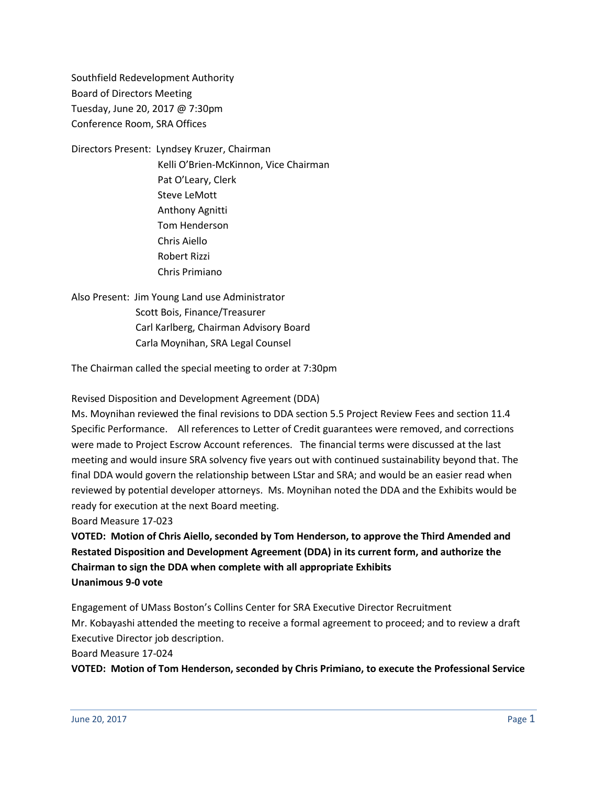Southfield Redevelopment Authority Board of Directors Meeting Tuesday, June 20, 2017 @ 7:30pm Conference Room, SRA Offices

Directors Present: Lyndsey Kruzer, Chairman Kelli O'Brien-McKinnon, Vice Chairman Pat O'Leary, Clerk Steve LeMott Anthony Agnitti Tom Henderson Chris Aiello Robert Rizzi Chris Primiano

Also Present: Jim Young Land use Administrator Scott Bois, Finance/Treasurer Carl Karlberg, Chairman Advisory Board Carla Moynihan, SRA Legal Counsel

The Chairman called the special meeting to order at 7:30pm

Revised Disposition and Development Agreement (DDA)

Ms. Moynihan reviewed the final revisions to DDA section 5.5 Project Review Fees and section 11.4 Specific Performance. All references to Letter of Credit guarantees were removed, and corrections were made to Project Escrow Account references. The financial terms were discussed at the last meeting and would insure SRA solvency five years out with continued sustainability beyond that. The final DDA would govern the relationship between LStar and SRA; and would be an easier read when reviewed by potential developer attorneys. Ms. Moynihan noted the DDA and the Exhibits would be ready for execution at the next Board meeting.

Board Measure 17-023

**VOTED: Motion of Chris Aiello, seconded by Tom Henderson, to approve the Third Amended and Restated Disposition and Development Agreement (DDA) in its current form, and authorize the Chairman to sign the DDA when complete with all appropriate Exhibits Unanimous 9-0 vote**

Engagement of UMass Boston's Collins Center for SRA Executive Director Recruitment Mr. Kobayashi attended the meeting to receive a formal agreement to proceed; and to review a draft Executive Director job description.

Board Measure 17-024

**VOTED: Motion of Tom Henderson, seconded by Chris Primiano, to execute the Professional Service**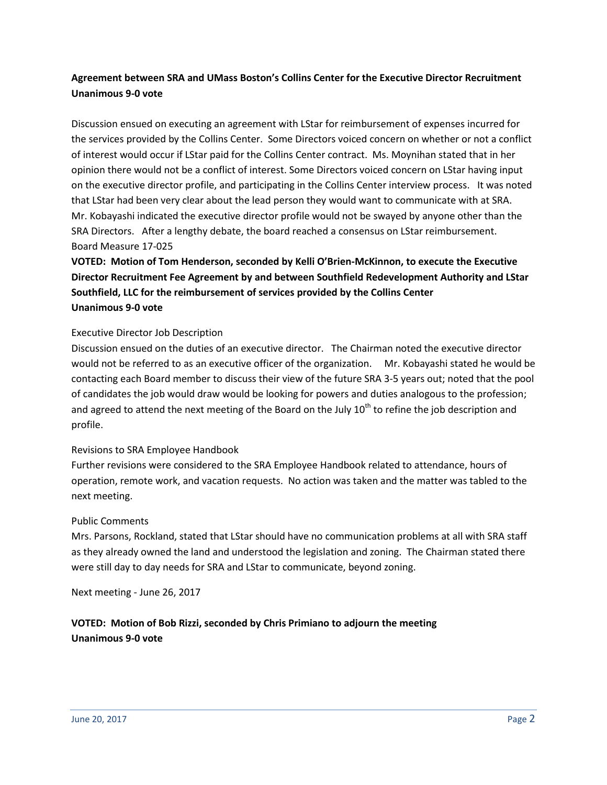## **Agreement between SRA and UMass Boston's Collins Center for the Executive Director Recruitment Unanimous 9-0 vote**

Discussion ensued on executing an agreement with LStar for reimbursement of expenses incurred for the services provided by the Collins Center. Some Directors voiced concern on whether or not a conflict of interest would occur if LStar paid for the Collins Center contract. Ms. Moynihan stated that in her opinion there would not be a conflict of interest. Some Directors voiced concern on LStar having input on the executive director profile, and participating in the Collins Center interview process. It was noted that LStar had been very clear about the lead person they would want to communicate with at SRA. Mr. Kobayashi indicated the executive director profile would not be swayed by anyone other than the SRA Directors. After a lengthy debate, the board reached a consensus on LStar reimbursement. Board Measure 17-025

# **VOTED: Motion of Tom Henderson, seconded by Kelli O'Brien-McKinnon, to execute the Executive Director Recruitment Fee Agreement by and between Southfield Redevelopment Authority and LStar Southfield, LLC for the reimbursement of services provided by the Collins Center Unanimous 9-0 vote**

### Executive Director Job Description

Discussion ensued on the duties of an executive director. The Chairman noted the executive director would not be referred to as an executive officer of the organization. Mr. Kobayashi stated he would be contacting each Board member to discuss their view of the future SRA 3-5 years out; noted that the pool of candidates the job would draw would be looking for powers and duties analogous to the profession; and agreed to attend the next meeting of the Board on the July  $10<sup>th</sup>$  to refine the job description and profile.

### Revisions to SRA Employee Handbook

Further revisions were considered to the SRA Employee Handbook related to attendance, hours of operation, remote work, and vacation requests. No action was taken and the matter was tabled to the next meeting.

### Public Comments

Mrs. Parsons, Rockland, stated that LStar should have no communication problems at all with SRA staff as they already owned the land and understood the legislation and zoning. The Chairman stated there were still day to day needs for SRA and LStar to communicate, beyond zoning.

Next meeting - June 26, 2017

**VOTED: Motion of Bob Rizzi, seconded by Chris Primiano to adjourn the meeting Unanimous 9-0 vote**